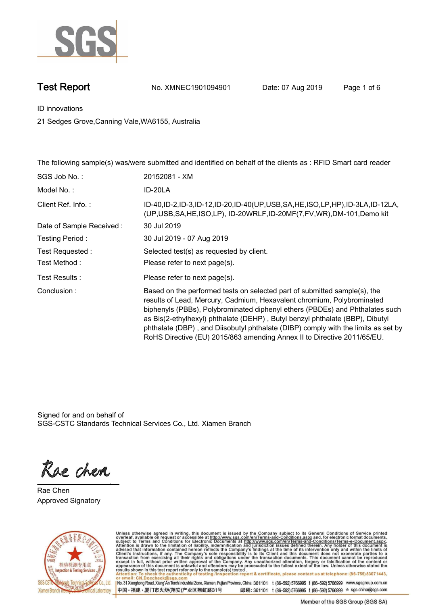

**Test Report No. XMNEC1901094901** Date: 07 Aug 2019 Page 1 of 6

**ID innovations.**

**21 Sedges Grove,Canning Vale,WA6155, Australia**

**The following sample(s) was/were submitted and identified on behalf of the clients as : RFID Smart card reader.**

Signed for and on behalf of SGS-CSTC Standards Technical Services Co., Ltd. Xiamen Branch.

Rae chen

**Rae Chen. Approved Signatory.**



Unless otherwise agreed in writing, this document is issued by the Company subject to its General Conditions of Service printed<br>overleaf, available on request or accessible at http://www.sgs.com/en/Terms-and-Conditions.as

No. 31 Xianghong Road, Xiang' An Torch Industrial Zone, Xiamen, Fujian Province, China 361101 t (86-592) 5766995 f (86-592) 5766999 www.sgsgroup.com.cn 中国·福建·厦门市火炬(翔安)产业区翔虹路31号 邮编: 361101 t (86-592) 5766995 f (86-592) 5766999 e sgs.china@sgs.com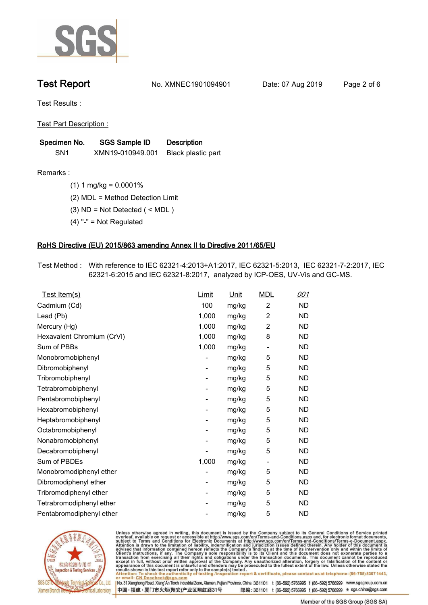

**Test Report. No. XMNEC1901094901** Date: 07 Aug 2019 Page 2 of 6

**Test Results :.**

**Test Part Description :.**

| Specimen No.    | SGS Sample ID    | <b>Description</b> |
|-----------------|------------------|--------------------|
| SN <sub>1</sub> | XMN19-010949.001 | Black plastic part |

**Remarks :.(1) 1 mg/kg = 0.0001%.**

**(2) MDL = Method Detection Limit.**

**(3) ND = Not Detected ( < MDL ).**

**(4) "-" = Not Regulated.**

### **RoHS Directive (EU) 2015/863 amending Annex II to Directive 2011/65/EU.**

**Test Method :. With reference to IEC 62321-4:2013+A1:2017, IEC 62321-5:2013, IEC 62321-7-2:2017, IEC 62321-6:2015 and IEC 62321-8:2017, analyzed by ICP-OES, UV-Vis and GC-MS..**

| Test Item(s)               | <u>Limit</u> | <u>Unit</u> | <b>MDL</b>               | 001       |
|----------------------------|--------------|-------------|--------------------------|-----------|
| Cadmium (Cd)               | 100          | mg/kg       | $\overline{c}$           | <b>ND</b> |
| Lead (Pb)                  | 1,000        | mg/kg       | $\overline{c}$           | <b>ND</b> |
| Mercury (Hg)               | 1,000        | mg/kg       | 2                        | <b>ND</b> |
| Hexavalent Chromium (CrVI) | 1,000        | mg/kg       | 8                        | <b>ND</b> |
| Sum of PBBs                | 1,000        | mg/kg       | $\overline{\phantom{a}}$ | <b>ND</b> |
| Monobromobiphenyl          |              | mg/kg       | 5                        | <b>ND</b> |
| Dibromobiphenyl            | -            | mg/kg       | 5                        | <b>ND</b> |
| Tribromobiphenyl           | -            | mg/kg       | 5                        | <b>ND</b> |
| Tetrabromobiphenyl         |              | mg/kg       | 5                        | <b>ND</b> |
| Pentabromobiphenyl         | -            | mg/kg       | 5                        | <b>ND</b> |
| Hexabromobiphenyl          |              | mg/kg       | 5                        | ND        |
| Heptabromobiphenyl         | ۰            | mg/kg       | 5                        | <b>ND</b> |
| Octabromobiphenyl          |              | mg/kg       | 5                        | <b>ND</b> |
| Nonabromobiphenyl          |              | mg/kg       | 5                        | <b>ND</b> |
| Decabromobiphenyl          |              | mg/kg       | 5                        | <b>ND</b> |
| Sum of PBDEs               | 1,000        | mg/kg       | $\overline{\phantom{a}}$ | <b>ND</b> |
| Monobromodiphenyl ether    |              | mg/kg       | 5                        | <b>ND</b> |
| Dibromodiphenyl ether      | -            | mg/kg       | 5                        | <b>ND</b> |
| Tribromodiphenyl ether     | -            | mg/kg       | 5                        | <b>ND</b> |
| Tetrabromodiphenyl ether   |              | mg/kg       | 5                        | <b>ND</b> |
| Pentabromodiphenyl ether   |              | mg/kg       | 5                        | <b>ND</b> |
|                            |              |             |                          |           |



Unless otherwise agreed in writing, this document is issued by the Company subject to its General Conditions of Service printed overleaf, available on request or accessible at http://www.sgs.com/en/Terms-and-Conditions.as

No. 31 Xianghong Road, Xiang' An Torch Industrial Zone, Xiamen, Fujian Province, China 361101 t (86-592) 5766995 f (86-592) 5766999 www.sgsgroup.com.cn 中国·福建·厦门市火炬(翔安)产业区翔虹路31号 邮编: 361101 t (86-592) 5766995 f (86-592) 5766999 e sgs.china@sgs.com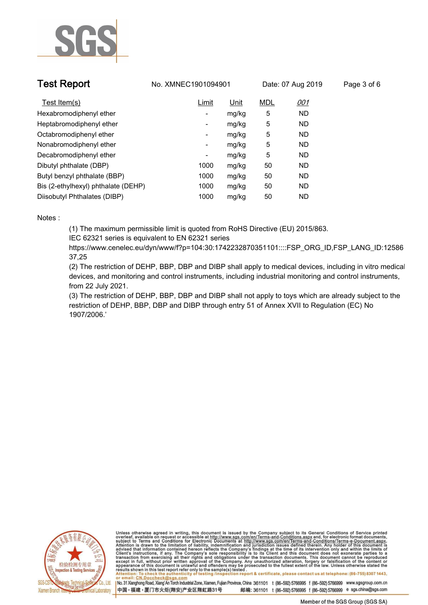

| <b>Test Report</b>                  | No. XMNEC1901094901      |             | Date: 07 Aug 2019 |            | Page 3 of 6 |
|-------------------------------------|--------------------------|-------------|-------------------|------------|-------------|
| Test Item(s)                        | Limit                    | <u>Unit</u> | <b>MDL</b>        | <u>001</u> |             |
| Hexabromodiphenyl ether             | -                        | mg/kg       | 5                 | ND.        |             |
| Heptabromodiphenyl ether            | $\overline{\phantom{a}}$ | mg/kg       | 5                 | ND.        |             |
| Octabromodiphenyl ether             | $\overline{\phantom{a}}$ | mg/kg       | 5                 | ND.        |             |
| Nonabromodiphenyl ether             | $\overline{\phantom{a}}$ | mg/kg       | 5                 | ND.        |             |
| Decabromodiphenyl ether             | -                        | mg/kg       | 5                 | ND         |             |
| Dibutyl phthalate (DBP)             | 1000                     | mg/kg       | 50                | ND.        |             |
| Butyl benzyl phthalate (BBP)        | 1000                     | mg/kg       | 50                | ND.        |             |
| Bis (2-ethylhexyl) phthalate (DEHP) | 1000                     | mg/kg       | 50                | ND.        |             |
| Diisobutyl Phthalates (DIBP)        | 1000                     | mg/kg       | 50                | <b>ND</b>  |             |

### **Notes :.**

**(1) The maximum permissible limit is quoted from RoHS Directive (EU) 2015/863.**

**IEC 62321 series is equivalent to EN 62321 series**

**https://www.cenelec.eu/dyn/www/f?p=104:30:1742232870351101::::FSP\_ORG\_ID,FSP\_LANG\_ID:12586 37,25**

**(2) The restriction of DEHP, BBP, DBP and DIBP shall apply to medical devices, including in vitro medical devices, and monitoring and control instruments, including industrial monitoring and control instruments, from 22 July 2021.**

**(3) The restriction of DEHP, BBP, DBP and DIBP shall not apply to toys which are already subject to the restriction of DEHP, BBP, DBP and DIBP through entry 51 of Annex XVII to Regulation (EC) No 1907/2006.'.**



Unless otherwise agreed in writing, this document is issued by the Company subject to its General Conditions of Service printed overleaf, available on request or accessible at http://www.sgs.com/en/Terms-and-Conditions.as

No. 31 Xianghong Road, Xiang'An Torch Industrial Zone, Xiamen, Fujian Province, China 361101 t (86-592) 5766995 f (86-592) 5766999 www.sgsgroup.com.cn 中国·福建·厦门市火炬(翔安)产业区翔虹路31号 邮编: 361101 t (86-592) 5766995 f (86-592) 5766999 e sgs.china@sgs.com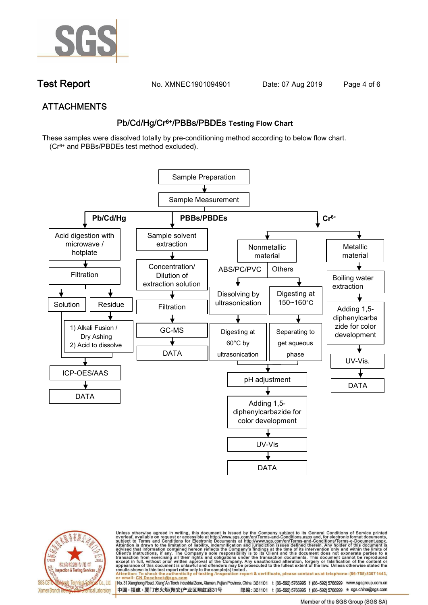

**Test Report. No. XMNEC1901094901** Date: 07 Aug 2019 Page 4 of 6

## **ATTACHMENTS Pb/Cd/Hg/Cr6+/PBBs/PBDEs Testing Flow Chart**

**These samples were dissolved totally by pre-conditioning method according to below flow chart. (Cr6+ and PBBs/PBDEs test method excluded).**





Unless otherwise agreed in writing, this document is issued by the Company subject to its General Conditions of Service printed overleaf, available on request or accessible at http://www.sgs.com/en/Terms-and-Conditions.as

No. 31 Xianghong Road, Xiang An Torch Industrial Zone, Xiamen, Fujian Province, China 361101 t (86-592) 5766995 f (86-592) 5766999 www.sgsgroup.com.cn 中国·福建·厦门市火炬(翔安)产业区翔虹路31号 邮编: 361101 t (86-592) 5766995 f (86-592) 5766999 e sgs.china@sgs.com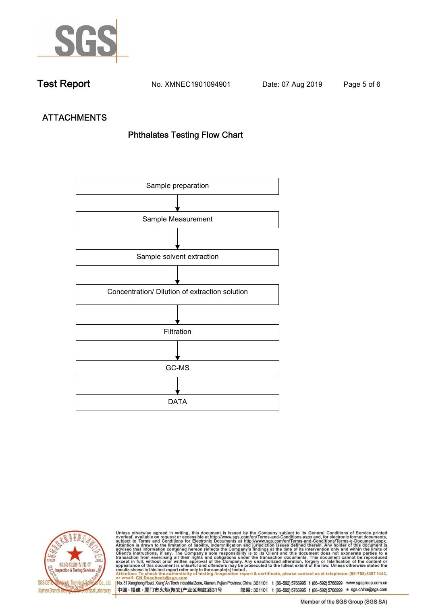

**Test Report. No. XMNEC1901094901** Date: 07 Aug 2019 Page 5 of 6

# **ATTACHMENTS Phthalates Testing Flow Chart**





Unless otherwise agreed in writing, this document is issued by the Company subject to its General Conditions of Service printed overleaf, available on request or accessible at http://www.sgs.com/en/Terms-and-Conditions.as

I No. 31 Xianghong Road, Xiang' An Torch Industrial Zone, Xiamen, Fujian Province, China 361101 t (86-592) 5766995 f (86-592) 5766999 www.sgsgroup.com.cn 中国·福建·厦门市火炬(翔安)产业区翔虹路31号 邮编: 361101 t (86-592) 5766995 f (86-592) 5766999 e sgs.china@sgs.com